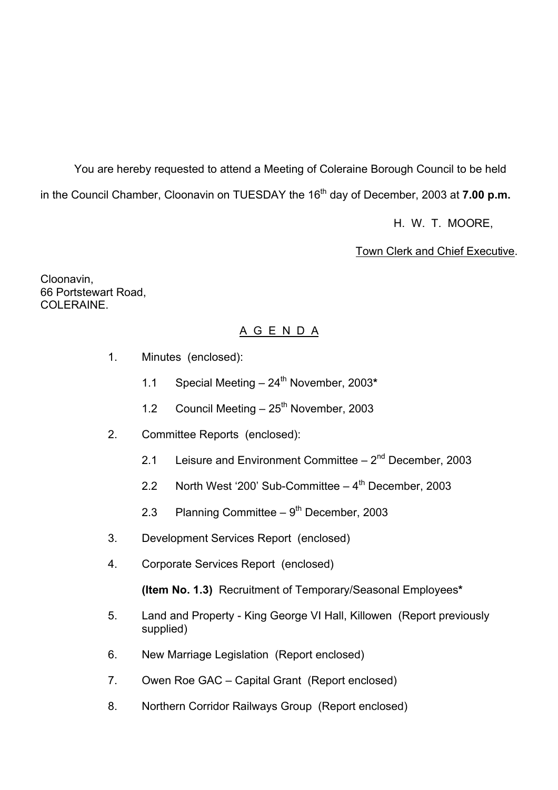You are hereby requested to attend a Meeting of Coleraine Borough Council to be held in the Council Chamber, Cloonavin on TUESDAY the 16<sup>th</sup> day of December, 2003 at **7.00 p.m.** 

H. W. T. MOORE,

Town Clerk and Chief Executive.

Cloonavin, 66 Portstewart Road, COLERAINE

## A G E N D A

- 1. Minutes (enclosed):
	- 1.1 Special Meeting 24<sup>th</sup> November, 2003\*
	- 1.2 Council Meeting  $-25<sup>th</sup>$  November, 2003
- 2. Committee Reports (enclosed):
	- 2.1 Leisure and Environment Committee  $-2<sup>nd</sup>$  December, 2003
	- 2.2 North West '200' Sub-Committee  $-4<sup>th</sup>$  December, 2003
	- 2.3 Planning Committee  $-9<sup>th</sup>$  December, 2003
- 3. Development Services Report (enclosed)
- 4. Corporate Services Report (enclosed)

**(Item No. 1.3)** Recruitment of Temporary/Seasonal Employees**\*** 

- 5. Land and Property King George VI Hall, Killowen (Report previously supplied)
- 6. New Marriage Legislation (Report enclosed)
- 7. Owen Roe GAC Capital Grant (Report enclosed)
- 8. Northern Corridor Railways Group (Report enclosed)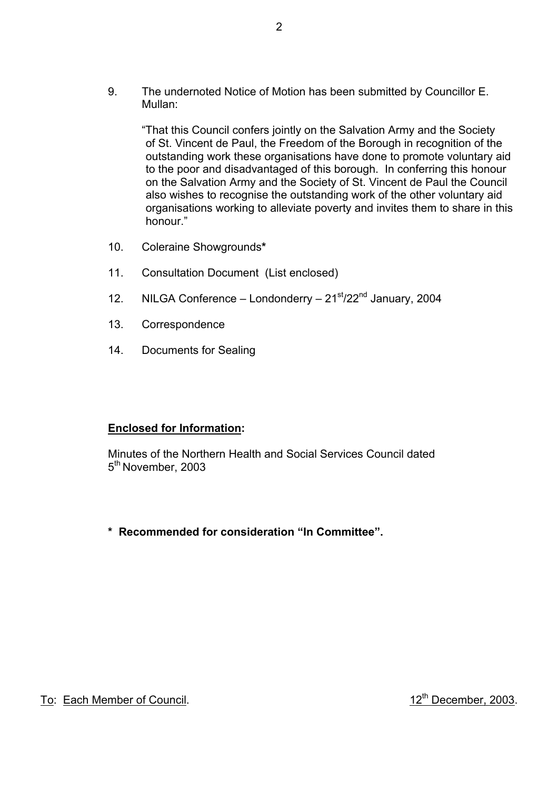9. The undernoted Notice of Motion has been submitted by Councillor E. Mullan:

 ìThat this Council confers jointly on the Salvation Army and the Society of St. Vincent de Paul, the Freedom of the Borough in recognition of the outstanding work these organisations have done to promote voluntary aid to the poor and disadvantaged of this borough. In conferring this honour on the Salvation Army and the Society of St. Vincent de Paul the Council also wishes to recognise the outstanding work of the other voluntary aid organisations working to alleviate poverty and invites them to share in this honour."

- 10. Coleraine Showgrounds**\***
- 11. Consultation Document (List enclosed)
- 12. NILGA Conference Londonderry  $21<sup>st</sup>/22<sup>nd</sup>$  January, 2004
- 13. Correspondence
- 14. Documents for Sealing

#### **Enclosed for Information:**

 Minutes of the Northern Health and Social Services Council dated 5<sup>th</sup> November, 2003

\* Recommended for consideration "In Committee".

To: Each Member of Council. 12<sup>th</sup> December, 2003.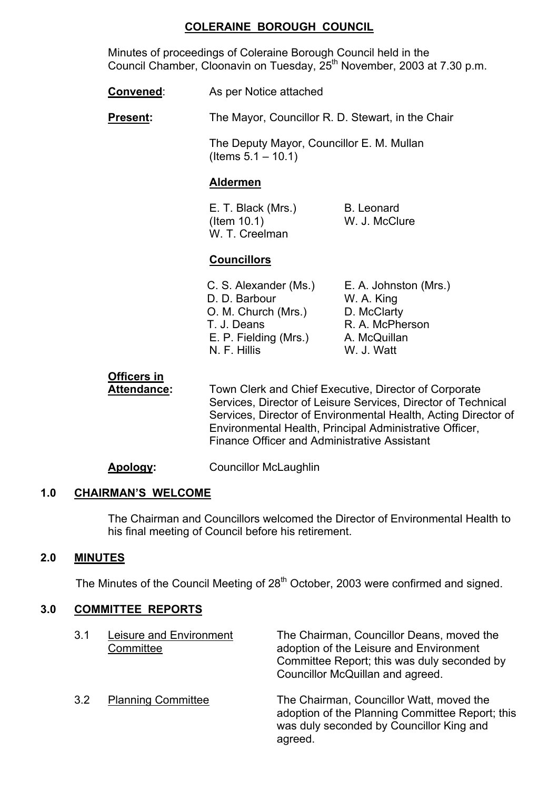#### **COLERAINE BOROUGH COUNCIL**

 Minutes of proceedings of Coleraine Borough Council held in the Council Chamber, Cloonavin on Tuesday, 25<sup>th</sup> November, 2003 at 7.30 p.m.

**Convened:** As per Notice attached

**Present:** The Mayor, Councillor R. D. Stewart, in the Chair

 The Deputy Mayor, Councillor E. M. Mullan  $($  ltems  $5.1 - 10.1)$ 

#### **Aldermen**

E. T. Black (Mrs.) B. Leonard (Item 10.1) W. J. McClure W. T. Creelman

#### **Councillors**

C. S. Alexander (Ms.) E. A. Johnston (Mrs.) D. D. Barbour W. A. King O. M. Church (Mrs.) D. McClarty T. J. Deans R. A. McPherson E. P. Fielding (Mrs.) A. McQuillan N. F. Hillis W. J. Watt

**Officers in**

 **Attendance:** Town Clerk and Chief Executive, Director of Corporate Services, Director of Leisure Services, Director of Technical Services, Director of Environmental Health, Acting Director of Environmental Health, Principal Administrative Officer, Finance Officer and Administrative Assistant

**Apology:** Councillor McLaughlin

## **1.0 CHAIRMANíS WELCOME**

The Chairman and Councillors welcomed the Director of Environmental Health to his final meeting of Council before his retirement.

#### **2.0 MINUTES**

The Minutes of the Council Meeting of 28<sup>th</sup> October, 2003 were confirmed and signed.

#### **3.0 COMMITTEE REPORTS**

| 3.1           | Leisure and Environment<br>Committee | The Chairman, Councillor Deans, moved the<br>adoption of the Leisure and Environment<br>Committee Report; this was duly seconded by<br>Councillor McQuillan and agreed. |
|---------------|--------------------------------------|-------------------------------------------------------------------------------------------------------------------------------------------------------------------------|
| $3.2^{\circ}$ | <b>Planning Committee</b>            | The Chairman, Councillor Watt, moved the<br>adoption of the Planning Committee Report; this<br>was duly seconded by Councillor King and<br>agreed.                      |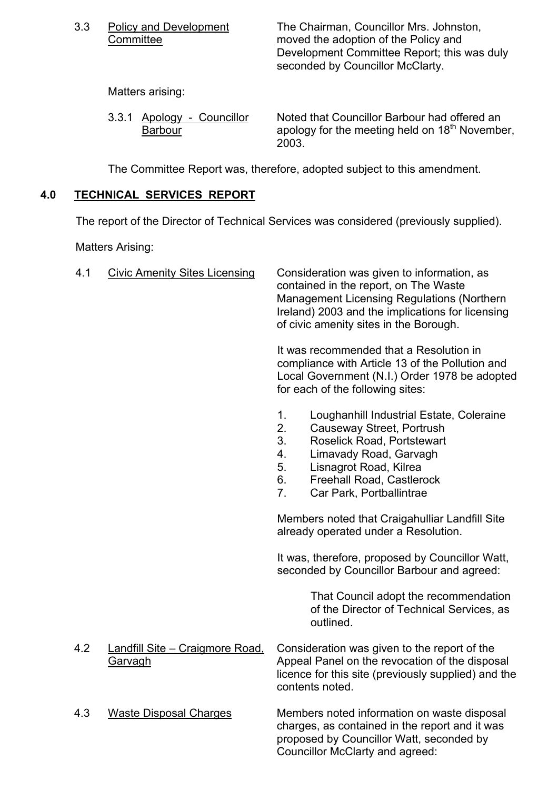3.3 Policy and Development The Chairman, Councillor Mrs. Johnston, Committee moved the adoption of the Policy and Development Committee Report; this was duly seconded by Councillor McClarty.

Matters arising:

| 3.3.1 Apology - Councillor | Noted that Councillor Barbour had offered an               |
|----------------------------|------------------------------------------------------------|
| <b>Barbour</b>             | apology for the meeting held on 18 <sup>th</sup> November, |
|                            | 2003.                                                      |

The Committee Report was, therefore, adopted subject to this amendment.

## **4.0 TECHNICAL SERVICES REPORT**

The report of the Director of Technical Services was considered (previously supplied).

Matters Arising:

| 4.1 | <b>Civic Amenity Sites Licensing</b>       | Consideration was given to information, as<br>contained in the report, on The Waste<br><b>Management Licensing Regulations (Northern</b> )<br>Ireland) 2003 and the implications for licensing<br>of civic amenity sites in the Borough.                                 |
|-----|--------------------------------------------|--------------------------------------------------------------------------------------------------------------------------------------------------------------------------------------------------------------------------------------------------------------------------|
|     |                                            | It was recommended that a Resolution in<br>compliance with Article 13 of the Pollution and<br>Local Government (N.I.) Order 1978 be adopted<br>for each of the following sites:                                                                                          |
|     |                                            | Loughanhill Industrial Estate, Coleraine<br>1.<br>2.<br>Causeway Street, Portrush<br>3.<br><b>Roselick Road, Portstewart</b><br>4.<br>Limavady Road, Garvagh<br>5.<br>Lisnagrot Road, Kilrea<br>6.<br><b>Freehall Road, Castlerock</b><br>7.<br>Car Park, Portballintrae |
|     |                                            | Members noted that Craigahulliar Landfill Site<br>already operated under a Resolution.                                                                                                                                                                                   |
|     |                                            | It was, therefore, proposed by Councillor Watt,<br>seconded by Councillor Barbour and agreed:                                                                                                                                                                            |
|     |                                            | That Council adopt the recommendation<br>of the Director of Technical Services, as<br>outlined.                                                                                                                                                                          |
| 4.2 | Landfill Site - Craigmore Road,<br>Garvagh | Consideration was given to the report of the<br>Appeal Panel on the revocation of the disposal<br>licence for this site (previously supplied) and the<br>contents noted.                                                                                                 |
| 4.3 | <b>Waste Disposal Charges</b>              | Members noted information on waste disposal<br>charges, as contained in the report and it was<br>proposed by Councillor Watt, seconded by<br>Councillor McClarty and agreed:                                                                                             |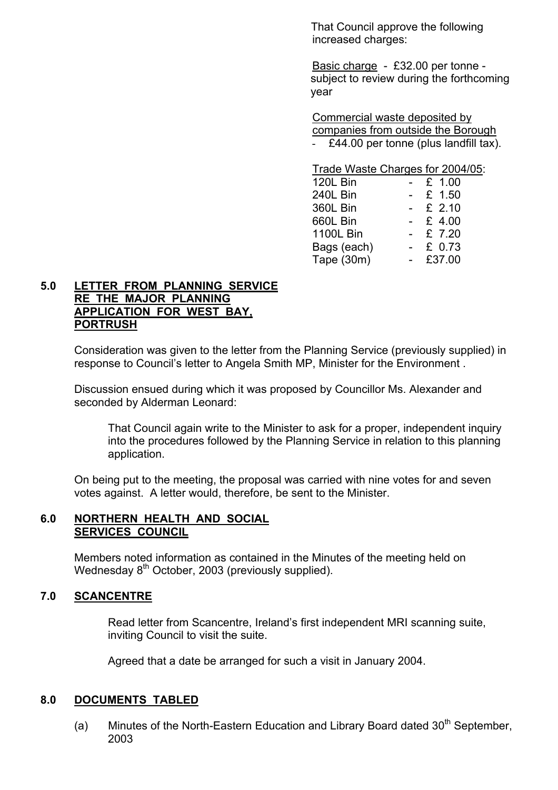That Council approve the following increased charges:

 Basic charge - £32.00 per tonne subject to review during the forthcoming year

 Commercial waste deposited by companies from outside the Borough £44.00 per tonne (plus landfill tax).

|                  | Trade Waste Charges for 2004/05: |
|------------------|----------------------------------|
| 120L Bin         | £ 1.00                           |
| 240L Bin         | £ 1.50                           |
| 360L Bin         | $-$ £ 2.10                       |
| 660L Bin         | £ 4.00                           |
| <b>1100L Bin</b> | £ 7.20                           |
| Bags (each)      | £ 0.73                           |
| Tape (30m)       | £37.00                           |

## **5.0 LETTER FROM PLANNING SERVICE RE THE MAJOR PLANNING APPLICATION FOR WEST BAY, PORTRUSH**

 Consideration was given to the letter from the Planning Service (previously supplied) in response to Council's letter to Angela Smith MP, Minister for the Environment.

Discussion ensued during which it was proposed by Councillor Ms. Alexander and seconded by Alderman Leonard:

 That Council again write to the Minister to ask for a proper, independent inquiry into the procedures followed by the Planning Service in relation to this planning application.

 On being put to the meeting, the proposal was carried with nine votes for and seven votes against. A letter would, therefore, be sent to the Minister.

#### **6.0 NORTHERN HEALTH AND SOCIAL SERVICES COUNCIL**

Members noted information as contained in the Minutes of the meeting held on Wednesday 8<sup>th</sup> October, 2003 (previously supplied).

## **7.0 SCANCENTRE**

Read letter from Scancentre, Ireland's first independent MRI scanning suite, inviting Council to visit the suite.

Agreed that a date be arranged for such a visit in January 2004.

#### **8.0 DOCUMENTS TABLED**

(a) Minutes of the North-Eastern Education and Library Board dated  $30<sup>th</sup>$  September, 2003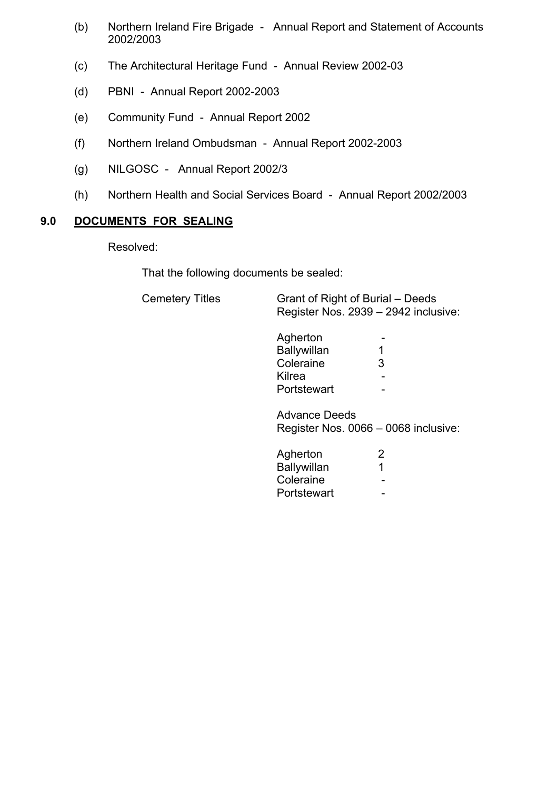- (b) Northern Ireland Fire Brigade Annual Report and Statement of Accounts 2002/2003
- (c) The Architectural Heritage Fund Annual Review 2002-03
- (d) PBNI Annual Report 2002-2003
- (e) Community Fund Annual Report 2002
- (f) Northern Ireland Ombudsman Annual Report 2002-2003
- (g) NILGOSC Annual Report 2002/3
- (h) Northern Health and Social Services Board Annual Report 2002/2003

### **9.0 DOCUMENTS FOR SEALING**

Resolved:

That the following documents be sealed:

Cemetery Titles

| <b>Cemetery Titles</b> | Grant of Right of Burial – Deeds     |
|------------------------|--------------------------------------|
|                        | Register Nos. 2939 – 2942 inclusive: |

| Agherton    | - |
|-------------|---|
| Ballywillan |   |
| Coleraine   | ີ |
| Kilrea      | - |
| Portstewart | - |

 Advance Deeds Register Nos.  $0066 - 0068$  inclusive:

| Agherton           | n                        |
|--------------------|--------------------------|
| <b>Ballywillan</b> |                          |
| Coleraine          | $\overline{\phantom{0}}$ |
| Portstewart        | $\overline{\phantom{0}}$ |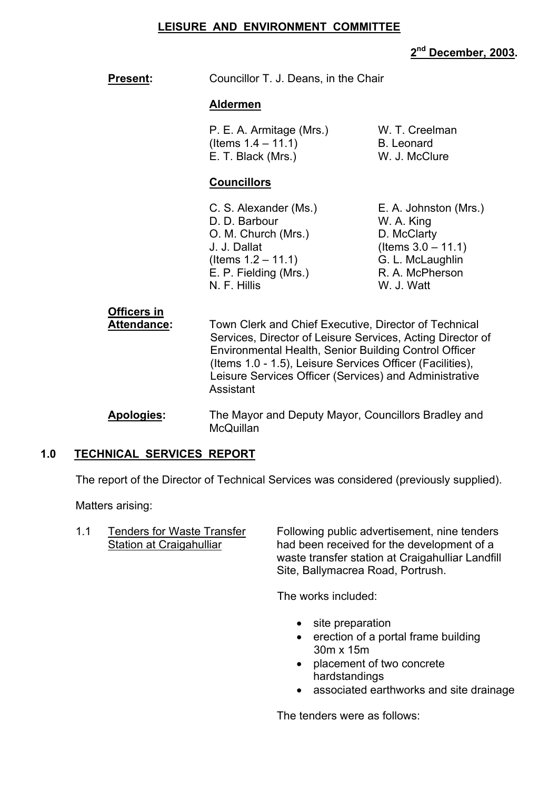#### **LEISURE AND ENVIRONMENT COMMITTEE**

## **2nd December, 2003.**

**Present:** Councillor T. J. Deans, in the Chair

#### **Aldermen**

| P. E. A. Armitage (Mrs.) | W. T. Creelman    |
|--------------------------|-------------------|
| (Items 1.4 – 11.1)       | <b>B.</b> Leonard |
| E. T. Black (Mrs.)       | W. J. McClure     |

#### **Councillors**

D. D. Barbour W. A. King O. M. Church (Mrs.) D. McClarty  $J. J. Dallat$  (Items  $3.0 - 11.1$ )  $($ ltems  $1.2 - 11.1)$  G. L. McLaughlin E. P. Fielding (Mrs.) R. A. McPherson N. F. Hillis W. J. Watt

C. S. Alexander (Ms.) E. A. Johnston (Mrs.)

# **Officers in**

 **Attendance:** Town Clerk and Chief Executive, Director of Technical Services, Director of Leisure Services, Acting Director of Environmental Health, Senior Building Control Officer (Items 1.0 - 1.5), Leisure Services Officer (Facilities), Leisure Services Officer (Services) and Administrative **Assistant** 

 **Apologies:** The Mayor and Deputy Mayor, Councillors Bradley and **McQuillan** 

#### **1.0 TECHNICAL SERVICES REPORT**

The report of the Director of Technical Services was considered (previously supplied).

Matters arising:

1.1 Tenders for Waste Transfer Following public advertisement, nine tenders Station at Craigahulliar had been received for the development of a waste transfer station at Craigahulliar Landfill Site, Ballymacrea Road, Portrush.

The works included:

- site preparation
- erection of a portal frame building 30m x 15m
- placement of two concrete hardstandings
- associated earthworks and site drainage

The tenders were as follows: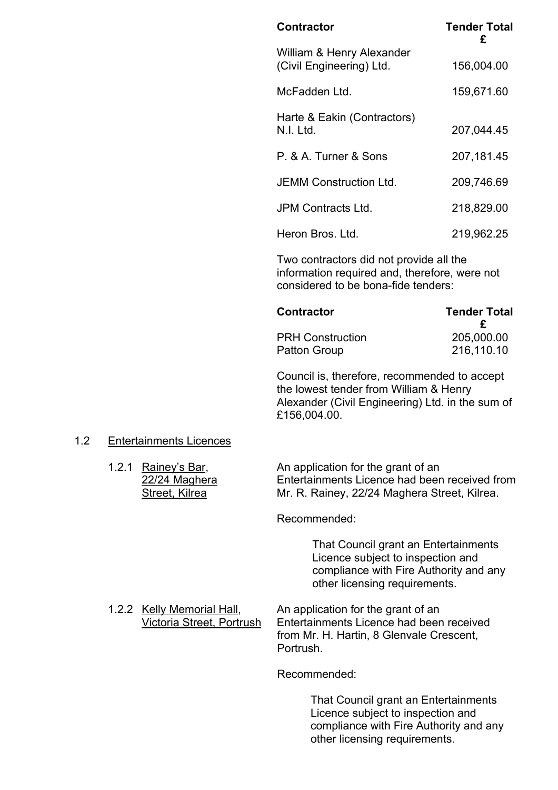| <b>Contractor</b>                                     | <b>Tender Total</b><br>£ |
|-------------------------------------------------------|--------------------------|
| William & Henry Alexander<br>(Civil Engineering) Ltd. | 156,004.00               |
| McFadden Ltd.                                         | 159,671.60               |
| Harte & Eakin (Contractors)<br>N.I. Ltd.              | 207,044.45               |
| P. & A. Turner & Sons                                 | 207,181.45               |
| <b>JEMM Construction Ltd.</b>                         | 209,746.69               |
| JPM Contracts Ltd.                                    | 218,829.00               |
| Heron Bros. Ltd.                                      | 219,962.25               |
|                                                       |                          |

Two contractors did not provide all the information required and, therefore, were not considered to be bona-fide tenders:

| <b>Contractor</b>       | <b>Tender Total</b> |  |
|-------------------------|---------------------|--|
|                         |                     |  |
| <b>PRH Construction</b> | 205,000.00          |  |
| Patton Group            | 216,110.10          |  |

Council is, therefore, recommended to accept the lowest tender from William & Henry Alexander (Civil Engineering) Ltd. in the sum of £156,004.00.

#### 1.2 Entertainments Licences

| 1.2.1 Rainey's Bar, | An application for the grant of an            |
|---------------------|-----------------------------------------------|
| 22/24 Maghera       | Entertainments Licence had been received from |
| Street, Kilrea      | Mr. R. Rainey, 22/24 Maghera Street, Kilrea.  |

Recommended:

That Council grant an Entertainments Licence subject to inspection and compliance with Fire Authority and any other licensing requirements.

1.2.2 Kelly Memorial Hall, An application for the grant of an<br>Victoria Street. Portrush Entertainments Licence had been Entertainments Licence had been received from Mr. H. Hartin, 8 Glenvale Crescent, Portrush.

Recommended:

 That Council grant an Entertainments Licence subject to inspection and compliance with Fire Authority and any other licensing requirements.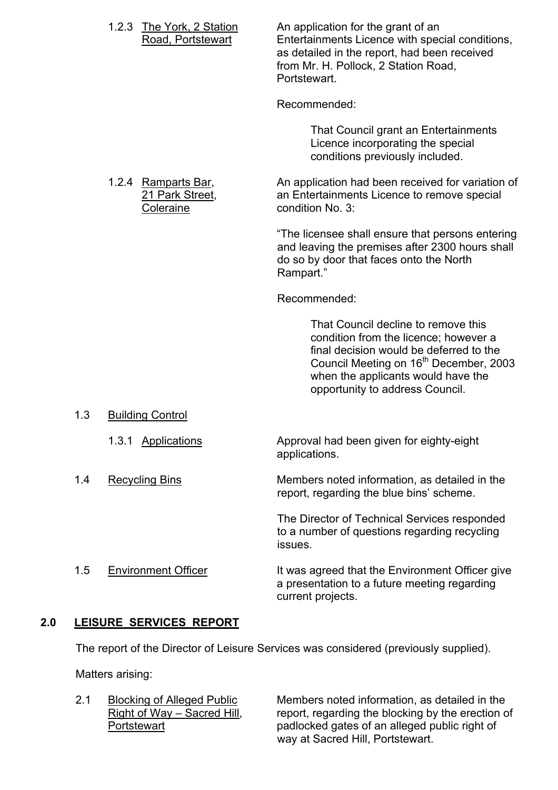|     | 1.2.3<br><b>The York, 2 Station</b><br>Road, Portstewart | An application for the grant of an<br>Entertainments Licence with special conditions,<br>as detailed in the report, had been received<br>from Mr. H. Pollock, 2 Station Road,<br>Portstewart.                                                          |
|-----|----------------------------------------------------------|--------------------------------------------------------------------------------------------------------------------------------------------------------------------------------------------------------------------------------------------------------|
|     |                                                          | Recommended:                                                                                                                                                                                                                                           |
|     |                                                          | That Council grant an Entertainments<br>Licence incorporating the special<br>conditions previously included.                                                                                                                                           |
|     | 1.2.4 Ramparts Bar,<br>21 Park Street,<br>Coleraine      | An application had been received for variation of<br>an Entertainments Licence to remove special<br>condition No. 3:                                                                                                                                   |
|     |                                                          | "The licensee shall ensure that persons entering<br>and leaving the premises after 2300 hours shall<br>do so by door that faces onto the North<br>Rampart."                                                                                            |
|     |                                                          | Recommended:                                                                                                                                                                                                                                           |
|     |                                                          | That Council decline to remove this<br>condition from the licence; however a<br>final decision would be deferred to the<br>Council Meeting on 16 <sup>th</sup> December, 2003<br>when the applicants would have the<br>opportunity to address Council. |
| 1.3 | <b>Building Control</b>                                  |                                                                                                                                                                                                                                                        |
|     | <b>Applications</b><br>1.3.1                             | Approval had been given for eighty-eight<br>applications.                                                                                                                                                                                              |
| 1.4 | <b>Recycling Bins</b>                                    | Members noted information, as detailed in the<br>report, regarding the blue bins' scheme.                                                                                                                                                              |
|     |                                                          | The Director of Technical Services responded<br>to a number of questions regarding recycling<br>issues.                                                                                                                                                |
| 1.5 | <b>Environment Officer</b>                               | It was agreed that the Environment Officer give<br>a presentation to a future meeting regarding<br>current projects.                                                                                                                                   |

## **2.0 LEISURE SERVICES REPORT**

The report of the Director of Leisure Services was considered (previously supplied).

Matters arising:

2.1 Blocking of Alleged Public Members noted information, as detailed in the Right of Way – Sacred Hill, report, regarding the blocking by the erection of  $\frac{Right\ of\ Way - Sacred\ Hill}{Path\ original}$  report, regarding the blocking by the erection of padlocked gates of an alleged public right of padlocked gates of an alleged public right of way at Sacred Hill, Portstewart.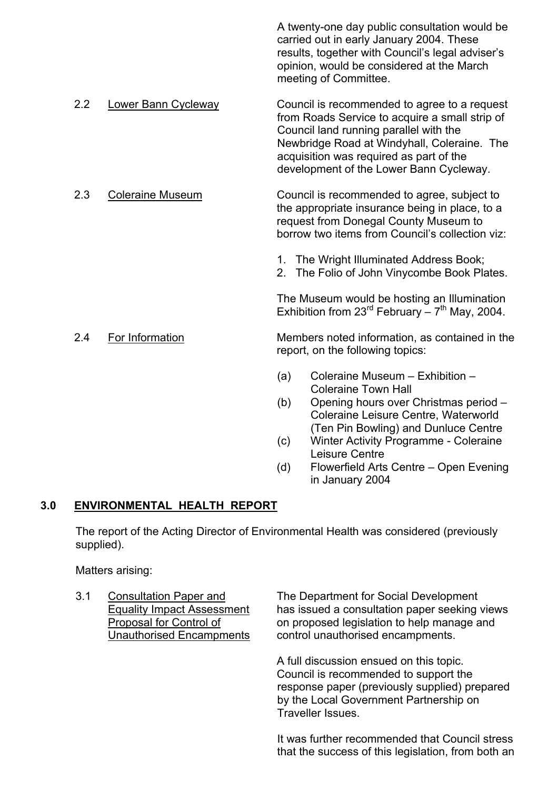|     |                            |                                                                                    | A twenty-one day public consultation would be<br>carried out in early January 2004. These<br>results, together with Council's legal adviser's<br>opinion, would be considered at the March<br>meeting of Committee.                                                           |
|-----|----------------------------|------------------------------------------------------------------------------------|-------------------------------------------------------------------------------------------------------------------------------------------------------------------------------------------------------------------------------------------------------------------------------|
| 2.2 | <b>Lower Bann Cycleway</b> |                                                                                    | Council is recommended to agree to a request<br>from Roads Service to acquire a small strip of<br>Council land running parallel with the<br>Newbridge Road at Windyhall, Coleraine. The<br>acquisition was required as part of the<br>development of the Lower Bann Cycleway. |
| 2.3 | <b>Coleraine Museum</b>    |                                                                                    | Council is recommended to agree, subject to<br>the appropriate insurance being in place, to a<br>request from Donegal County Museum to<br>borrow two items from Council's collection viz:                                                                                     |
|     |                            |                                                                                    | 1. The Wright Illuminated Address Book;<br>2. The Folio of John Vinycombe Book Plates.                                                                                                                                                                                        |
|     |                            |                                                                                    | The Museum would be hosting an Illumination<br>Exhibition from $23^{\text{rd}}$ February $-7^{\text{th}}$ May, 2004.                                                                                                                                                          |
| 2.4 | For Information            | Members noted information, as contained in the<br>report, on the following topics: |                                                                                                                                                                                                                                                                               |
|     |                            | (a)                                                                                | Coleraine Museum - Exhibition -<br><b>Coleraine Town Hall</b>                                                                                                                                                                                                                 |
|     |                            | (b)                                                                                | Opening hours over Christmas period -<br>Coleraine Leisure Centre, Waterworld                                                                                                                                                                                                 |
|     |                            | (c)                                                                                | (Ten Pin Bowling) and Dunluce Centre<br>Winter Activity Programme - Coleraine<br>Leisure Centre                                                                                                                                                                               |

 $(d)$  Flowerfield Arts Centre – Open Evening in January 2004

## **3.0 ENVIRONMENTAL HEALTH REPORT**

 The report of the Acting Director of Environmental Health was considered (previously supplied).

Matters arising:

 3.1 Consultation Paper and The Department for Social Development Equality Impact Assessment has issued a consultation paper seeking views<br>Proposal for Control of on proposed legislation to help manage and on proposed legislation to help manage and Unauthorised Encampments control unauthorised encampments.

> A full discussion ensued on this topic. Council is recommended to support the response paper (previously supplied) prepared by the Local Government Partnership on Traveller Issues.

It was further recommended that Council stress that the success of this legislation, from both an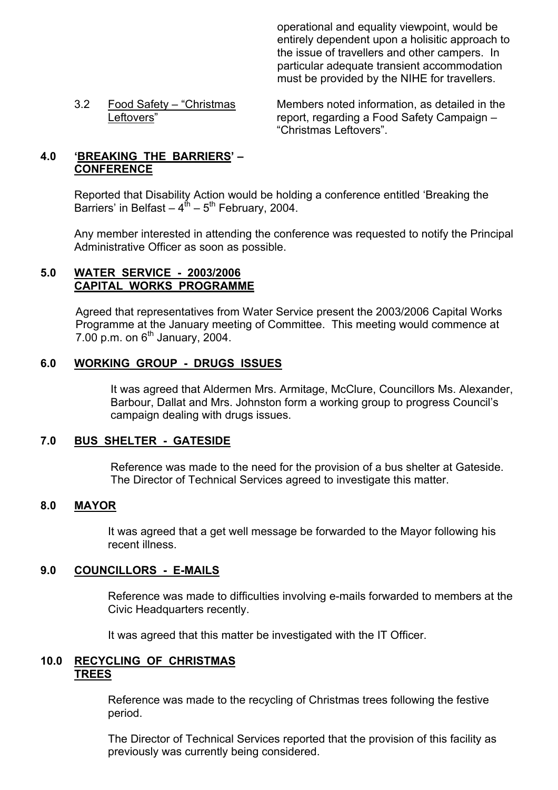operational and equality viewpoint, would be entirely dependent upon a holisitic approach to the issue of travellers and other campers. In particular adequate transient accommodation must be provided by the NIHE for travellers.

3.2 Food Safety – "Christmas Members noted information, as detailed in the Leftovers" report, regarding a Food Safety Campaign – ìChristmas Leftoversî.

## **4.0 EREAKING THE BARRIERS'- CONFERENCE**

Reported that Disability Action would be holding a conference entitled 'Breaking the Barriers' in Belfast  $-4^{th}$  – 5<sup>th</sup> February, 2004.

Any member interested in attending the conference was requested to notify the Principal Administrative Officer as soon as possible.

## **5.0 WATER SERVICE - 2003/2006 CAPITAL WORKS PROGRAMME**

Agreed that representatives from Water Service present the 2003/2006 Capital Works Programme at the January meeting of Committee. This meeting would commence at  $7.00$  p.m. on  $6<sup>th</sup>$  January, 2004.

## **6.0 WORKING GROUP - DRUGS ISSUES**

It was agreed that Aldermen Mrs. Armitage, McClure, Councillors Ms. Alexander, Barbour, Dallat and Mrs. Johnston form a working group to progress Council's campaign dealing with drugs issues.

#### **7.0 BUS SHELTER - GATESIDE**

Reference was made to the need for the provision of a bus shelter at Gateside. The Director of Technical Services agreed to investigate this matter.

## **8.0 MAYOR**

 It was agreed that a get well message be forwarded to the Mayor following his recent illness.

## **9.0 COUNCILLORS - E-MAILS**

 Reference was made to difficulties involving e-mails forwarded to members at the Civic Headquarters recently.

It was agreed that this matter be investigated with the IT Officer.

#### **10.0 RECYCLING OF CHRISTMAS TREES**

 Reference was made to the recycling of Christmas trees following the festive period.

 The Director of Technical Services reported that the provision of this facility as previously was currently being considered.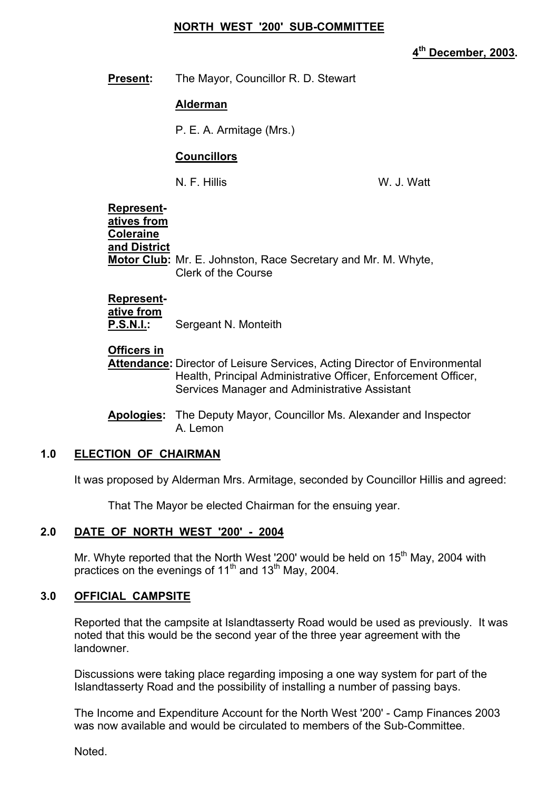#### **NORTH WEST '200' SUB-COMMITTEE**

**4th December, 2003.** 

**Present:** The Mayor, Councillor R. D. Stewart

#### **Alderman**

P. E. A. Armitage (Mrs.)

#### **Councillors**

N. F. Hillis W. J. Watt

 **Represent atives from Coleraine and District Motor Club:** Mr. E. Johnston, Race Secretary and Mr. M. Whyte, Clerk of the Course

## **Represent-**

 **ative from P.S.N.I.:** Sergeant N. Monteith

#### **Officers in**

 **Attendance:** Director of Leisure Services, Acting Director of Environmental Health, Principal Administrative Officer, Enforcement Officer, Services Manager and Administrative Assistant

 **Apologies:** The Deputy Mayor, Councillor Ms. Alexander and Inspector A. Lemon

#### **1.0 ELECTION OF CHAIRMAN**

It was proposed by Alderman Mrs. Armitage, seconded by Councillor Hillis and agreed:

That The Mayor be elected Chairman for the ensuing year.

#### **2.0 DATE OF NORTH WEST '200' - 2004**

Mr. Whyte reported that the North West '200' would be held on  $15<sup>th</sup>$  May, 2004 with practices on the evenings of 11<sup>th</sup> and 13<sup>th</sup> May, 2004.

#### **3.0 OFFICIAL CAMPSITE**

Reported that the campsite at Islandtasserty Road would be used as previously. It was noted that this would be the second year of the three year agreement with the landowner.

 Discussions were taking place regarding imposing a one way system for part of the Islandtasserty Road and the possibility of installing a number of passing bays.

 The Income and Expenditure Account for the North West '200' - Camp Finances 2003 was now available and would be circulated to members of the Sub-Committee.

Noted.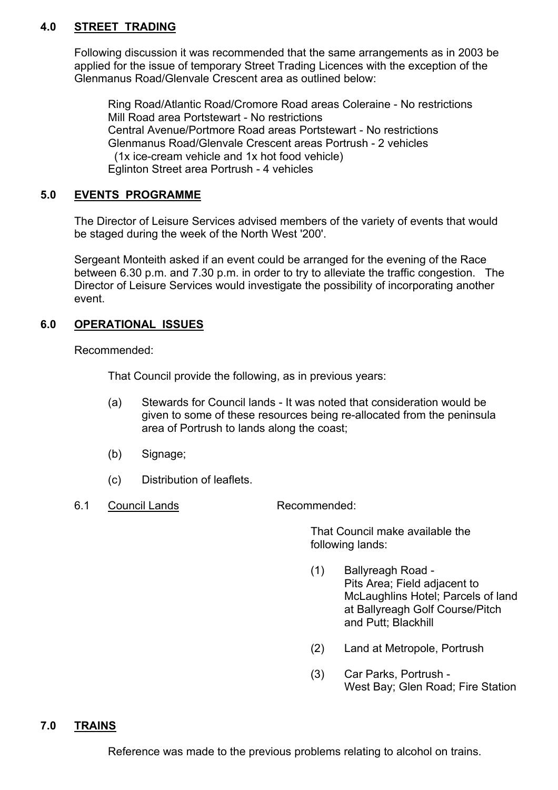## **4.0 STREET TRADING**

 Following discussion it was recommended that the same arrangements as in 2003 be applied for the issue of temporary Street Trading Licences with the exception of the Glenmanus Road/Glenvale Crescent area as outlined below:

 Ring Road/Atlantic Road/Cromore Road areas Coleraine - No restrictions Mill Road area Portstewart - No restrictions Central Avenue/Portmore Road areas Portstewart - No restrictions Glenmanus Road/Glenvale Crescent areas Portrush - 2 vehicles (1x ice-cream vehicle and 1x hot food vehicle) Eglinton Street area Portrush - 4 vehicles

#### **5.0 EVENTS PROGRAMME**

 The Director of Leisure Services advised members of the variety of events that would be staged during the week of the North West '200'.

 Sergeant Monteith asked if an event could be arranged for the evening of the Race between 6.30 p.m. and 7.30 p.m. in order to try to alleviate the traffic congestion. The Director of Leisure Services would investigate the possibility of incorporating another event.

## **6.0 OPERATIONAL ISSUES**

Recommended:

That Council provide the following, as in previous years:

- (a) Stewards for Council lands It was noted that consideration would be given to some of these resources being re-allocated from the peninsula area of Portrush to lands along the coast;
- (b) Signage;
- (c) Distribution of leaflets.
- 6.1 Council Lands Recommended:

 That Council make available the following lands:

- (1) Ballyreagh Road Pits Area; Field adjacent to McLaughlins Hotel; Parcels of land at Ballyreagh Golf Course/Pitch and Putt; Blackhill
- (2) Land at Metropole, Portrush
- (3) Car Parks, Portrush West Bay; Glen Road; Fire Station

**7.0 TRAINS**

Reference was made to the previous problems relating to alcohol on trains.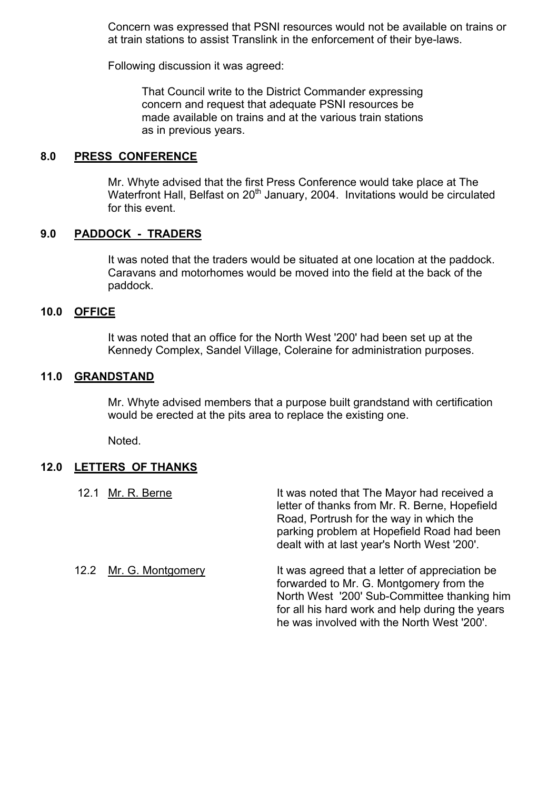Concern was expressed that PSNI resources would not be available on trains or at train stations to assist Translink in the enforcement of their bye-laws.

Following discussion it was agreed:

 That Council write to the District Commander expressing concern and request that adequate PSNI resources be made available on trains and at the various train stations as in previous years.

#### **8.0 PRESS CONFERENCE**

 Mr. Whyte advised that the first Press Conference would take place at The Waterfront Hall, Belfast on 20<sup>th</sup> January, 2004. Invitations would be circulated for this event.

#### **9.0 PADDOCK - TRADERS**

 It was noted that the traders would be situated at one location at the paddock. Caravans and motorhomes would be moved into the field at the back of the paddock.

#### **10.0 OFFICE**

 It was noted that an office for the North West '200' had been set up at the Kennedy Complex, Sandel Village, Coleraine for administration purposes.

#### **11.0 GRANDSTAND**

 Mr. Whyte advised members that a purpose built grandstand with certification would be erected at the pits area to replace the existing one.

Noted.

#### **12.0 LETTERS OF THANKS**

| Mr. R. Berne<br>12.1   | It was noted that The Mayor had received a<br>letter of thanks from Mr. R. Berne, Hopefield<br>Road, Portrush for the way in which the<br>parking problem at Hopefield Road had been<br>dealt with at last year's North West '200'.        |
|------------------------|--------------------------------------------------------------------------------------------------------------------------------------------------------------------------------------------------------------------------------------------|
| 12.2 Mr. G. Montgomery | It was agreed that a letter of appreciation be.<br>forwarded to Mr. G. Montgomery from the<br>North West '200' Sub-Committee thanking him<br>for all his hard work and help during the years<br>he was involved with the North West '200'. |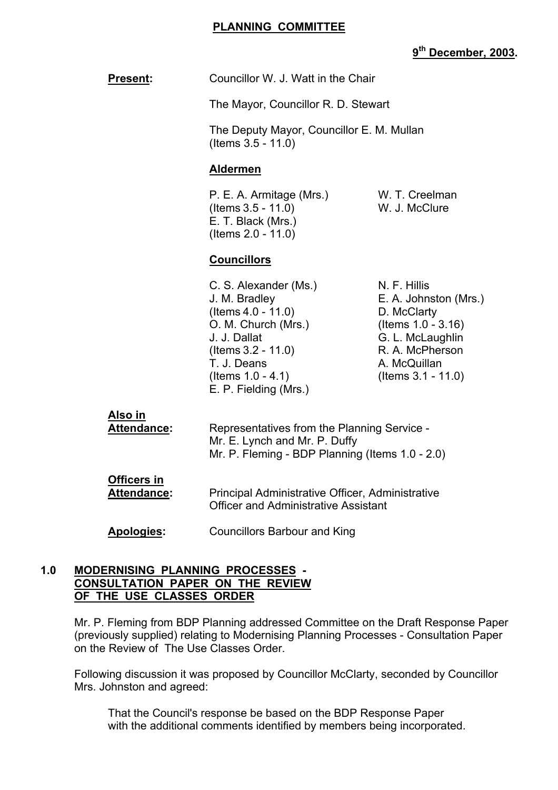#### **PLANNING COMMITTEE**

# **9th December, 2003.**

|                                          |                                                                                                                                                                                                                                    | <u>, becember</u>                                                                                                                                       |
|------------------------------------------|------------------------------------------------------------------------------------------------------------------------------------------------------------------------------------------------------------------------------------|---------------------------------------------------------------------------------------------------------------------------------------------------------|
| <b>Present:</b>                          | Councillor W. J. Watt in the Chair<br>The Mayor, Councillor R. D. Stewart<br>The Deputy Mayor, Councillor E. M. Mullan<br>(Items 3.5 - 11.0)                                                                                       |                                                                                                                                                         |
|                                          |                                                                                                                                                                                                                                    |                                                                                                                                                         |
|                                          |                                                                                                                                                                                                                                    |                                                                                                                                                         |
|                                          | <b>Aldermen</b>                                                                                                                                                                                                                    |                                                                                                                                                         |
|                                          | P. E. A. Armitage (Mrs.)<br>(Items 3.5 - 11.0)<br>E. T. Black (Mrs.)<br>(Items 2.0 - 11.0)                                                                                                                                         | W. T. Creelman<br>W. J. McClure                                                                                                                         |
|                                          | <b>Councillors</b>                                                                                                                                                                                                                 |                                                                                                                                                         |
|                                          | C. S. Alexander (Ms.)<br>J. M. Bradley<br>$($ ltems 4.0 - 11.0)<br>O. M. Church (Mrs.)<br>J. J. Dallat<br>$($ ltems 3.2 - 11.0)<br>T. J. Deans<br>(Items $1.0 - 4.1$ )<br>E. P. Fielding (Mrs.)                                    | N. F. Hillis<br>E. A. Johnston (Mrs.)<br>D. McClarty<br>(Items 1.0 - 3.16)<br>G. L. McLaughlin<br>R. A. McPherson<br>A. McQuillan<br>(Items 3.1 - 11.0) |
| <u>Also in</u><br><b>Attendance:</b>     | Representatives from the Planning Service -<br>Mr. E. Lynch and Mr. P. Duffy<br>Mr. P. Fleming - BDP Planning (Items 1.0 - 2.0)<br>Principal Administrative Officer, Administrative<br><b>Officer and Administrative Assistant</b> |                                                                                                                                                         |
| <b>Officers in</b><br><b>Attendance:</b> |                                                                                                                                                                                                                                    |                                                                                                                                                         |
| Apologies:                               | <b>Councillors Barbour and King</b>                                                                                                                                                                                                |                                                                                                                                                         |
|                                          |                                                                                                                                                                                                                                    |                                                                                                                                                         |

#### **1.0 MODERNISING PLANNING PROCESSES - CONSULTATION PAPER ON THE REVIEW OF THE USE CLASSES ORDER**

 Mr. P. Fleming from BDP Planning addressed Committee on the Draft Response Paper (previously supplied) relating to Modernising Planning Processes - Consultation Paper on the Review of The Use Classes Order.

Following discussion it was proposed by Councillor McClarty, seconded by Councillor Mrs. Johnston and agreed:

That the Council's response be based on the BDP Response Paper with the additional comments identified by members being incorporated.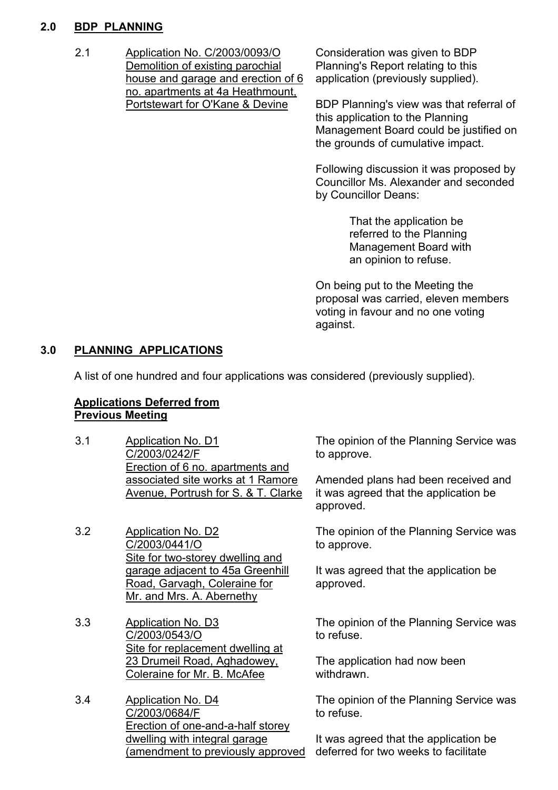## **2.0 BDP PLANNING**

2.1 Application No. C/2003/0093/O Demolition of existing parochial house and garage and erection of 6 no. apartments at 4a Heathmount, Portstewart for O'Kane & Devine

Consideration was given to BDP Planning's Report relating to this application (previously supplied).

BDP Planning's view was that referral of this application to the Planning Management Board could be justified on the grounds of cumulative impact.

Following discussion it was proposed by Councillor Ms. Alexander and seconded by Councillor Deans:

> That the application be referred to the Planning Management Board with an opinion to refuse.

On being put to the Meeting the proposal was carried, eleven members voting in favour and no one voting against.

## **3.0 PLANNING APPLICATIONS**

A list of one hundred and four applications was considered (previously supplied).

## **Applications Deferred from Previous Meeting**

- 3.1 Application No. D1 C/2003/0242/F Erection of 6 no. apartments and associated site works at 1 Ramore Avenue, Portrush for S. & T. Clarke
- 3.2 Application No. D2 C/2003/0441/O Site for two-storey dwelling and garage adjacent to 45a Greenhill Road, Garvagh, Coleraine for Mr. and Mrs. A. Abernethy
- 3.3 Application No. D3 C/2003/0543/O Site for replacement dwelling at 23 Drumeil Road, Aghadowey, Coleraine for Mr. B. McAfee
- 3.4 Application No. D4 C/2003/0684/F Erection of one-and-a-half storey dwelling with integral garage (amendment to previously approved

The opinion of the Planning Service was to approve.

Amended plans had been received and it was agreed that the application be approved.

The opinion of the Planning Service was to approve.

It was agreed that the application be approved.

The opinion of the Planning Service was to refuse.

The application had now been withdrawn.

The opinion of the Planning Service was to refuse.

It was agreed that the application be deferred for two weeks to facilitate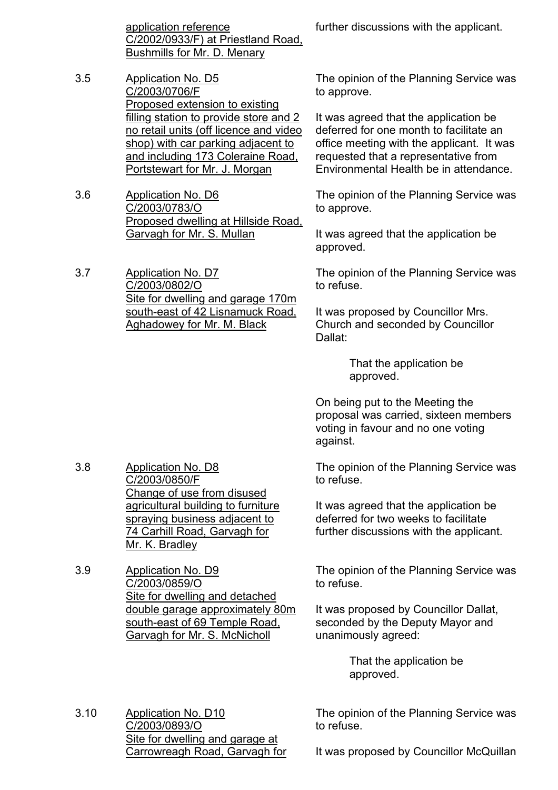application reference C/2002/0933/F) at Priestland Road, Bushmills for Mr. D. Menary

- 3.5 Application No. D5 C/2003/0706/F Proposed extension to existing filling station to provide store and 2 no retail units (off licence and video shop) with car parking adjacent to and including 173 Coleraine Road, Portstewart for Mr. J. Morgan
- 3.6 Application No. D6 C/2003/0783/O Proposed dwelling at Hillside Road, Garvagh for Mr. S. Mullan

3.7 Application No. D7 C/2003/0802/O Site for dwelling and garage 170m south-east of 42 Lisnamuck Road, Aghadowey for Mr. M. Black

further discussions with the applicant.

The opinion of the Planning Service was to approve.

It was agreed that the application be deferred for one month to facilitate an office meeting with the applicant. It was requested that a representative from Environmental Health be in attendance.

The opinion of the Planning Service was to approve.

It was agreed that the application be approved.

The opinion of the Planning Service was to refuse.

It was proposed by Councillor Mrs. Church and seconded by Councillor Dallat:

> That the application be approved.

On being put to the Meeting the proposal was carried, sixteen members voting in favour and no one voting against.

The opinion of the Planning Service was to refuse.

It was agreed that the application be deferred for two weeks to facilitate further discussions with the applicant.

The opinion of the Planning Service was to refuse.

It was proposed by Councillor Dallat, seconded by the Deputy Mayor and unanimously agreed:

> That the application be approved.

The opinion of the Planning Service was to refuse.

3.10 Application No. D10 C/2003/0893/O Site for dwelling and garage at Carrowreagh Road, Garvagh for

It was proposed by Councillor McQuillan

- 3.8 Application No. D8 C/2003/0850/F Change of use from disused agricultural building to furniture spraying business adjacent to 74 Carhill Road, Garvagh for Mr. K. Bradley
- 3.9 Application No. D9 C/2003/0859/O Site for dwelling and detached double garage approximately 80m south-east of 69 Temple Road, Garvagh for Mr. S. McNicholl
-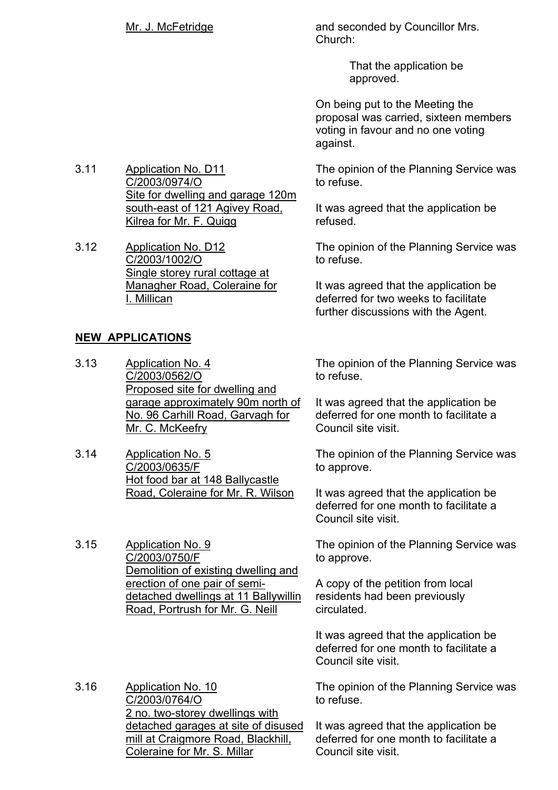Mr. J. McFetridge and seconded by Councillor Mrs. Church:

> That the application be approved.

On being put to the Meeting the proposal was carried, sixteen members voting in favour and no one voting against.

The opinion of the Planning Service was to refuse.

It was agreed that the application be refused.

The opinion of the Planning Service was to refuse.

It was agreed that the application be deferred for two weeks to facilitate further discussions with the Agent.

The opinion of the Planning Service was to refuse.

It was agreed that the application be deferred for one month to facilitate a Council site visit.

The opinion of the Planning Service was to approve.

It was agreed that the application be deferred for one month to facilitate a Council site visit.

The opinion of the Planning Service was to approve.

A copy of the petition from local residents had been previously circulated.

It was agreed that the application be deferred for one month to facilitate a Council site visit.

The opinion of the Planning Service was to refuse.

It was agreed that the application be deferred for one month to facilitate a Council site visit.

3.11 Application No. D11 C/2003/0974/O Site for dwelling and garage 120m south-east of 121 Agivey Road, Kilrea for Mr. F. Quigg

3.12 Application No. D12 C/2003/1002/O Single storey rural cottage at Managher Road, Coleraine for I. Millican

## **NEW APPLICATIONS**

- 3.13 Application No. 4 C/2003/0562/O **Proposed site for dwelling and** garage approximately 90m north of No. 96 Carhill Road, Garvagh for Mr. C. McKeefry
- 3.14 Application No. 5 C/2003/0635/F Hot food bar at 148 Ballycastle Road, Coleraine for Mr. R. Wilson

3.15 Application No. 9 C/2003/0750/F Demolition of existing dwelling and erection of one pair of semidetached dwellings at 11 Ballywillin Road, Portrush for Mr. G. Neill

3.16 Application No. 10 C/2003/0764/O 2 no. two-storey dwellings with detached garages at site of disused mill at Craigmore Road, Blackhill, Coleraine for Mr. S. Millar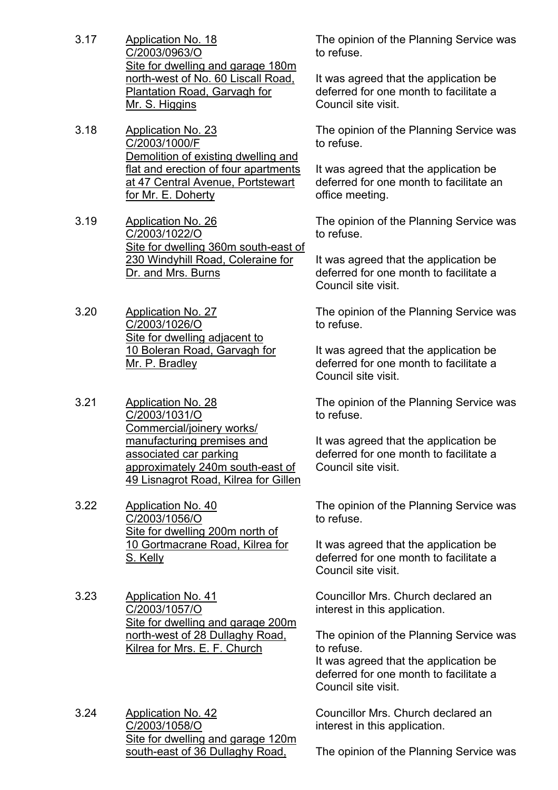- 3.17 Application No. 18 C/2003/0963/O Site for dwelling and garage 180m north-west of No. 60 Liscall Road, Plantation Road, Garvagh for Mr. S. Higgins
- 3.18 Application No. 23 C/2003/1000/F Demolition of existing dwelling and flat and erection of four apartments at 47 Central Avenue, Portstewart for Mr. E. Doherty
- 3.19 Application No. 26 C/2003/1022/O Site for dwelling 360m south-east of 230 Windyhill Road, Coleraine for Dr. and Mrs. Burns
- 3.20 Application No. 27 C/2003/1026/O Site for dwelling adjacent to 10 Boleran Road, Garvagh for Mr. P. Bradley
- 3.21 Application No. 28 C/2003/1031/O Commercial/joinery works/ manufacturing premises and associated car parking approximately 240m south-east of 49 Lisnagrot Road, Kilrea for Gillen
- 3.22 Application No. 40 C/2003/1056/O Site for dwelling 200m north of 10 Gortmacrane Road, Kilrea for S. Kelly
- 3.23 Application No. 41 C/2003/1057/O Site for dwelling and garage 200m north-west of 28 Dullaghy Road, Kilrea for Mrs. E. F. Church
- 3.24 Application No. 42 C/2003/1058/O Site for dwelling and garage 120m south-east of 36 Dullaghy Road,

The opinion of the Planning Service was to refuse.

It was agreed that the application be deferred for one month to facilitate a Council site visit.

The opinion of the Planning Service was to refuse.

It was agreed that the application be deferred for one month to facilitate an office meeting.

The opinion of the Planning Service was to refuse.

It was agreed that the application be deferred for one month to facilitate a Council site visit.

The opinion of the Planning Service was to refuse.

It was agreed that the application be deferred for one month to facilitate a Council site visit.

The opinion of the Planning Service was to refuse.

It was agreed that the application be deferred for one month to facilitate a Council site visit.

The opinion of the Planning Service was to refuse.

It was agreed that the application be deferred for one month to facilitate a Council site visit.

Councillor Mrs. Church declared an interest in this application.

The opinion of the Planning Service was to refuse.

It was agreed that the application be deferred for one month to facilitate a Council site visit.

Councillor Mrs. Church declared an interest in this application.

The opinion of the Planning Service was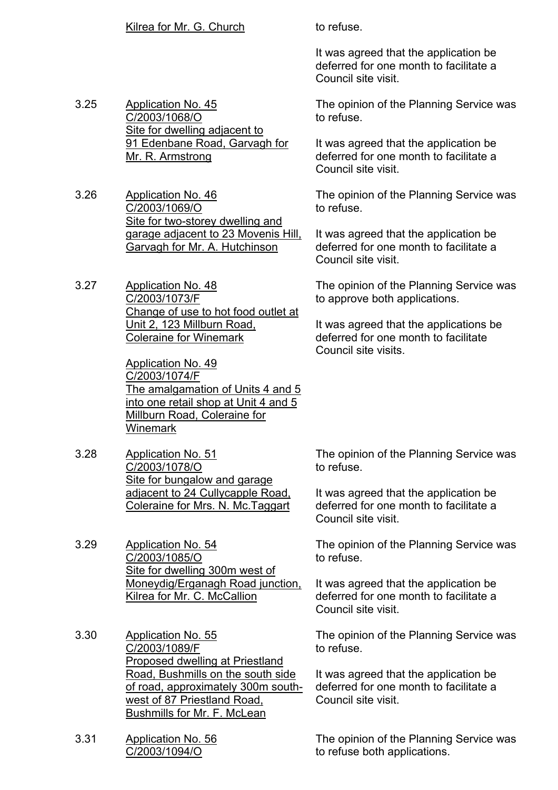It was agreed that the application be deferred for one month to facilitate a Council site visit.

3.25 Application No. 45 C/2003/1068/O Site for dwelling adjacent to 91 Edenbane Road, Garvagh for Mr. R. Armstrong

3.26 Application No. 46 C/2003/1069/O Site for two-storey dwelling and garage adjacent to 23 Movenis Hill, Garvagh for Mr. A. Hutchinson

3.27 Application No. 48 C/2003/1073/F Change of use to hot food outlet at Unit 2, 123 Millburn Road, Coleraine for Winemark

> Application No. 49 C/2003/1074/F The amalgamation of Units 4 and 5 into one retail shop at Unit 4 and 5 Millburn Road, Coleraine for **Winemark**

3.28 Application No. 51 C/2003/1078/O Site for bungalow and garage adjacent to 24 Cullycapple Road, Coleraine for Mrs. N. Mc.Taggart

3.29 Application No. 54 C/2003/1085/O Site for dwelling 300m west of Moneydig/Erganagh Road junction, Kilrea for Mr. C. McCallion

- 3.30 Application No. 55 C/2003/1089/F Proposed dwelling at Priestland Road, Bushmills on the south side of road, approximately 300m southwest of 87 Priestland Road, Bushmills for Mr. F. McLean
- 3.31 Application No. 56 C/2003/1094/O

The opinion of the Planning Service was to refuse.

It was agreed that the application be deferred for one month to facilitate a Council site visit.

The opinion of the Planning Service was to refuse.

It was agreed that the application be deferred for one month to facilitate a Council site visit.

The opinion of the Planning Service was to approve both applications.

It was agreed that the applications be deferred for one month to facilitate Council site visits.

The opinion of the Planning Service was to refuse.

It was agreed that the application be deferred for one month to facilitate a Council site visit.

The opinion of the Planning Service was to refuse.

It was agreed that the application be deferred for one month to facilitate a Council site visit.

The opinion of the Planning Service was to refuse.

It was agreed that the application be deferred for one month to facilitate a Council site visit.

The opinion of the Planning Service was to refuse both applications.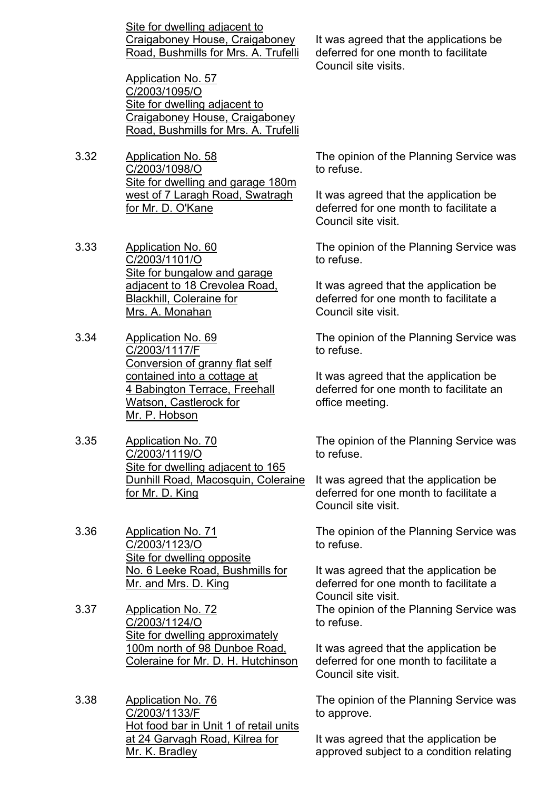Site for dwelling adjacent to Craigaboney House, Craigaboney Road, Bushmills for Mrs. A. Trufelli

Application No. 57 C/2003/1095/O Site for dwelling adjacent to Craigaboney House, Craigaboney Road, Bushmills for Mrs. A. Trufelli

- 3.32 Application No. 58 C/2003/1098/O Site for dwelling and garage 180m west of 7 Laragh Road, Swatragh for Mr. D. O'Kane
- 3.33 Application No. 60 C/2003/1101/O Site for bungalow and garage adjacent to 18 Crevolea Road, Blackhill, Coleraine for Mrs. A. Monahan
- 3.34 Application No. 69 C/2003/1117/F Conversion of granny flat self contained into a cottage at 4 Babington Terrace, Freehall Watson, Castlerock for Mr. P. Hobson
- 3.35 Application No. 70 C/2003/1119/O Site for dwelling adjacent to 165 Dunhill Road, Macosquin, Coleraine for Mr. D. King

3.36 Application No. 71 C/2003/1123/O Site for dwelling opposite No. 6 Leeke Road, Bushmills for Mr. and Mrs. D. King

3.37 Application No. 72 C/2003/1124/O Site for dwelling approximately 100m north of 98 Dunboe Road, Coleraine for Mr. D. H. Hutchinson

3.38 Application No. 76 C/2003/1133/F Hot food bar in Unit 1 of retail units at 24 Garvagh Road, Kilrea for Mr. K. Bradley

It was agreed that the applications be deferred for one month to facilitate Council site visits.

The opinion of the Planning Service was to refuse.

It was agreed that the application be deferred for one month to facilitate a Council site visit.

The opinion of the Planning Service was to refuse.

It was agreed that the application be deferred for one month to facilitate a Council site visit.

The opinion of the Planning Service was to refuse.

It was agreed that the application be deferred for one month to facilitate an office meeting.

The opinion of the Planning Service was to refuse.

It was agreed that the application be deferred for one month to facilitate a Council site visit.

The opinion of the Planning Service was to refuse.

It was agreed that the application be deferred for one month to facilitate a Council site visit.

The opinion of the Planning Service was to refuse.

It was agreed that the application be deferred for one month to facilitate a Council site visit.

The opinion of the Planning Service was to approve.

It was agreed that the application be approved subject to a condition relating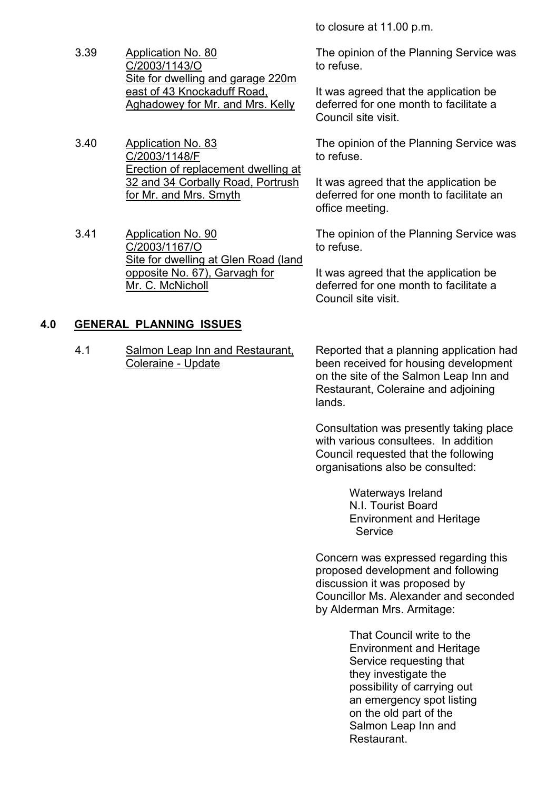to closure at 11.00 p.m.

- 3.39 Application No. 80 C/2003/1143/O Site for dwelling and garage 220m east of 43 Knockaduff Road, Aghadowey for Mr. and Mrs. Kelly
- 3.40 Application No. 83 C/2003/1148/F Erection of replacement dwelling at 32 and 34 Corbally Road, Portrush for Mr. and Mrs. Smyth
- 3.41 Application No. 90 C/2003/1167/O Site for dwelling at Glen Road (land opposite No. 67), Garvagh for Mr. C. McNicholl

## **4.0 GENERAL PLANNING ISSUES**

4.1 Salmon Leap Inn and Restaurant, Coleraine - Update

The opinion of the Planning Service was to refuse.

It was agreed that the application be deferred for one month to facilitate a Council site visit.

The opinion of the Planning Service was to refuse.

It was agreed that the application be deferred for one month to facilitate an office meeting.

The opinion of the Planning Service was to refuse.

It was agreed that the application be deferred for one month to facilitate a Council site visit.

Reported that a planning application had been received for housing development on the site of the Salmon Leap Inn and Restaurant, Coleraine and adjoining lands.

Consultation was presently taking place with various consultees. In addition Council requested that the following organisations also be consulted:

> Waterways Ireland N.I. Tourist Board Environment and Heritage **Service**

Concern was expressed regarding this proposed development and following discussion it was proposed by Councillor Ms. Alexander and seconded by Alderman Mrs. Armitage:

> That Council write to the Environment and Heritage Service requesting that they investigate the possibility of carrying out an emergency spot listing on the old part of the Salmon Leap Inn and **Restaurant**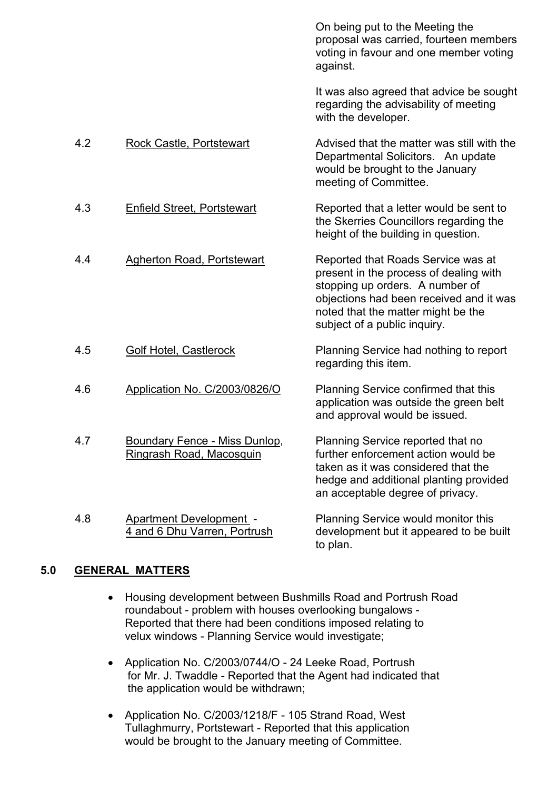|     |                                                                  | On being put to the Meeting the<br>proposal was carried, fourteen members<br>voting in favour and one member voting<br>against.                                                                                                  |
|-----|------------------------------------------------------------------|----------------------------------------------------------------------------------------------------------------------------------------------------------------------------------------------------------------------------------|
|     |                                                                  | It was also agreed that advice be sought<br>regarding the advisability of meeting<br>with the developer.                                                                                                                         |
| 4.2 | <b>Rock Castle, Portstewart</b>                                  | Advised that the matter was still with the<br>Departmental Solicitors. An update<br>would be brought to the January<br>meeting of Committee.                                                                                     |
| 4.3 | <b>Enfield Street, Portstewart</b>                               | Reported that a letter would be sent to<br>the Skerries Councillors regarding the<br>height of the building in question.                                                                                                         |
| 4.4 | <b>Agherton Road, Portstewart</b>                                | Reported that Roads Service was at<br>present in the process of dealing with<br>stopping up orders. A number of<br>objections had been received and it was<br>noted that the matter might be the<br>subject of a public inquiry. |
| 4.5 | Golf Hotel, Castlerock                                           | Planning Service had nothing to report<br>regarding this item.                                                                                                                                                                   |
| 4.6 | Application No. C/2003/0826/O                                    | Planning Service confirmed that this<br>application was outside the green belt<br>and approval would be issued.                                                                                                                  |
| 4.7 | <b>Boundary Fence - Miss Dunlop,</b><br>Ringrash Road, Macosquin | Planning Service reported that no<br>further enforcement action would be<br>taken as it was considered that the<br>hedge and additional planting provided<br>an acceptable degree of privacy.                                    |
| 4.8 | <b>Apartment Development -</b><br>4 and 6 Dhu Varren, Portrush   | Planning Service would monitor this<br>development but it appeared to be built<br>to plan.                                                                                                                                       |
|     |                                                                  |                                                                                                                                                                                                                                  |

## **5.0 GENERAL MATTERS**

- Housing development between Bushmills Road and Portrush Road roundabout - problem with houses overlooking bungalows - Reported that there had been conditions imposed relating to velux windows - Planning Service would investigate;
- Application No. C/2003/0744/O 24 Leeke Road, Portrush for Mr. J. Twaddle - Reported that the Agent had indicated that the application would be withdrawn;
- Application No. C/2003/1218/F 105 Strand Road, West Tullaghmurry, Portstewart - Reported that this application would be brought to the January meeting of Committee.